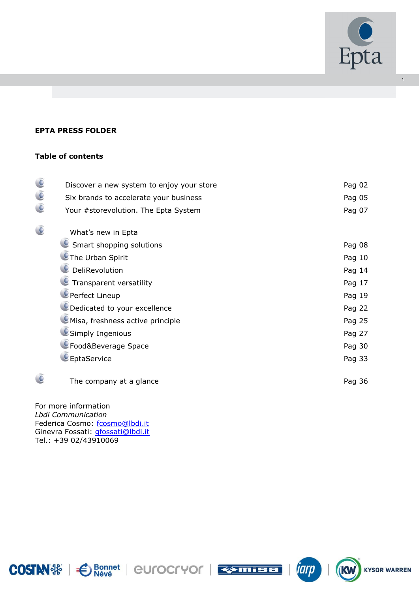

iarp

**KW** 

**KYSOR WARREN** 

1

# **EPTA PRESS FOLDER**

# **Table of contents**

| $\bigcirc$     | Discover a new system to enjoy your store | Pag 02 |
|----------------|-------------------------------------------|--------|
| $\bigcirc$     | Six brands to accelerate your business    | Pag 05 |
| $\bullet$      | Your #storevolution. The Epta System      | Pag 07 |
| $\overline{C}$ | What's new in Epta                        |        |
|                | Smart shopping solutions                  | Pag 08 |
|                | The Urban Spirit                          | Pag 10 |
|                | DeliRevolution                            | Pag 14 |
|                | Transparent versatility                   | Pag 17 |
|                | Perfect Lineup                            | Pag 19 |
|                | O Dedicated to your excellence            | Pag 22 |
|                | Misa, freshness active principle          | Pag 25 |
|                | Simply Ingenious                          | Pag 27 |
|                | CFood&Beverage Space                      | Pag 30 |
|                | EptaService                               | Pag 33 |
|                | The company at a glance                   | Pag 36 |
|                |                                           |        |

For more information *Lbdi Communication* Federica Cosmo: [fcosmo@lbdi.it](mailto:fcosmo@lbdi.it) Ginevra Fossati: [gfossati@lbdi.it](mailto:gfossati@lbdi.it) Tel.: +39 02/43910069

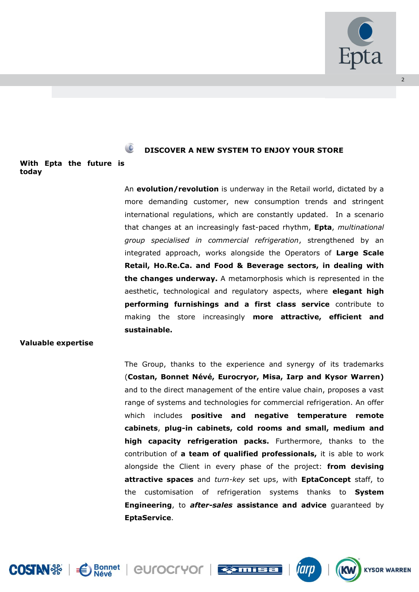

 $\overline{2}$ 

# **DISCOVER A NEW SYSTEM TO ENJOY YOUR STORE**

#### **With Epta the future is today**

An **evolution/revolution** is underway in the Retail world, dictated by a more demanding customer, new consumption trends and stringent international regulations, which are constantly updated. In a scenario that changes at an increasingly fast-paced rhythm, **Epta**, *multinational group specialised in commercial refrigeration*, strengthened by an integrated approach, works alongside the Operators of **Large Scale Retail, Ho.Re.Ca. and Food & Beverage sectors, in dealing with the changes underway.** A metamorphosis which is represented in the aesthetic, technological and regulatory aspects, where **elegant high performing furnishings and a first class service** contribute to making the store increasingly **more attractive, efficient and sustainable.**

# **Valuable expertise**

The Group, thanks to the experience and synergy of its trademarks (**Costan, Bonnet Névé, Eurocryor, Misa, Iarp and Kysor Warren)** and to the direct management of the entire value chain, proposes a vast range of systems and technologies for commercial refrigeration. An offer which includes **positive and negative temperature remote cabinets**, **plug-in cabinets, cold rooms and small, medium and high capacity refrigeration packs.** Furthermore, thanks to the contribution of **a team of qualified professionals,** it is able to work alongside the Client in every phase of the project: **from devising attractive spaces** and *turn-key* set ups, with **EptaConcept** staff, to the customisation of refrigeration systems thanks to **System Engineering**, to *after-sales* **assistance and advice** guaranteed by **EptaService**.



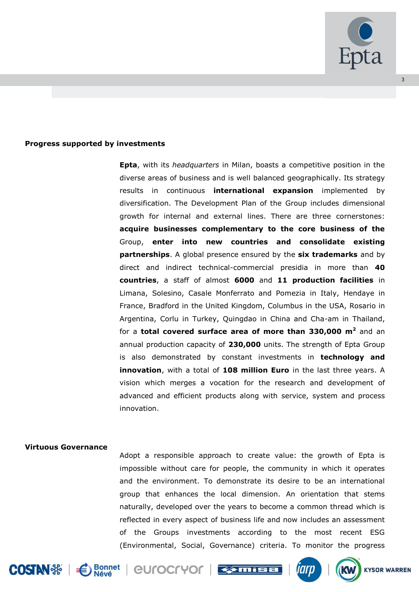

# **Progress supported by investments**

**Epta**, with its *headquarters* in Milan, boasts a competitive position in the diverse areas of business and is well balanced geographically. Its strategy results in continuous **international expansion** implemented by diversification. The Development Plan of the Group includes dimensional growth for internal and external lines. There are three cornerstones: **acquire businesses complementary to the core business of the**  Group, **enter into new countries and consolidate existing partnerships**. A global presence ensured by the **six trademarks** and by direct and indirect technical-commercial presidia in more than **40 countries**, a staff of almost **6000** and **11 production facilities** in Limana, Solesino, Casale Monferrato and Pomezia in Italy, Hendaye in France, Bradford in the United Kingdom, Columbus in the USA, Rosario in Argentina, Corlu in Turkey, Quingdao in China and Cha-am in Thailand, for a **total covered surface area of more than 330,000 m<sup>2</sup>** and an annual production capacity of **230,000** units. The strength of Epta Group is also demonstrated by constant investments in **technology and innovation**, with a total of **108 million Euro** in the last three years. A vision which merges a vocation for the research and development of advanced and efficient products along with service, system and process innovation.

#### **Virtuous Governance**

Adopt a responsible approach to create value: the growth of Epta is impossible without care for people, the community in which it operates and the environment. To demonstrate its desire to be an international group that enhances the local dimension. An orientation that stems naturally, developed over the years to become a common thread which is reflected in every aspect of business life and now includes an assessment of the Groups investments according to the most recent ESG (Environmental, Social, Governance) criteria. To monitor the progress











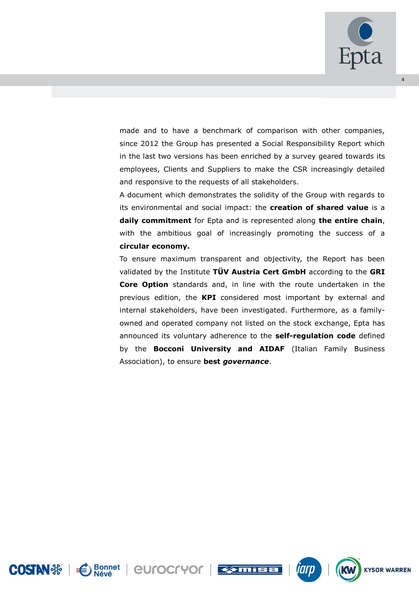

made and to have a benchmark of comparison with other companies, since 2012 the Group has presented a Social Responsibility Report which in the last two versions has been enriched by a survey geared towards its employees, Clients and Suppliers to make the CSR increasingly detailed and responsive to the requests of all stakeholders.

A document which demonstrates the solidity of the Group with regards to its environmental and social impact: the **creation of shared value** is a **daily commitment** for Epta and is represented along **the entire chain**, with the ambitious goal of increasingly promoting the success of a **circular economy.**

To ensure maximum transparent and objectivity, the Report has been validated by the Institute **TÜV Austria Cert GmbH** according to the **GRI Core Option** standards and, in line with the route undertaken in the previous edition, the **KPI** considered most important by external and internal stakeholders, have been investigated. Furthermore, as a familyowned and operated company not listed on the stock exchange, Epta has announced its voluntary adherence to the **self-regulation code** defined by the **Bocconi University and AIDAF** (Italian Family Business Association), to ensure **best** *governance*.







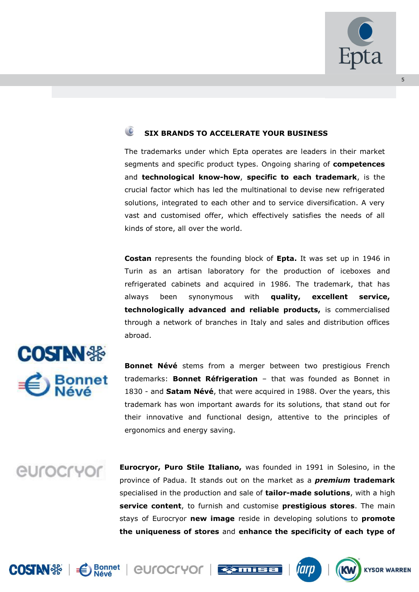

# **SIX BRANDS TO ACCELERATE YOUR BUSINESS**

The trademarks under which Epta operates are leaders in their market segments and specific product types. Ongoing sharing of **competences** and **technological know-how**, **specific to each trademark**, is the crucial factor which has led the multinational to devise new refrigerated solutions, integrated to each other and to service diversification. A very vast and customised offer, which effectively satisfies the needs of all kinds of store, all over the world.

**Costan** represents the founding block of **Epta.** It was set up in 1946 in Turin as an artisan laboratory for the production of iceboxes and refrigerated cabinets and acquired in 1986. The trademark, that has always been synonymous with **quality, excellent service, technologically advanced and reliable products,** is commercialised through a network of branches in Italy and sales and distribution offices abroad.



**Bonnet Névé** stems from a merger between two prestigious French trademarks: **Bonnet Réfrigeration** – that was founded as Bonnet in 1830 - and **Satam Névé**, that were acquired in 1988. Over the years, this trademark has won important awards for its solutions, that stand out for their innovative and functional design, attentive to the principles of ergonomics and energy saving.

# *<u>CUrocryor</u>*

**Eurocryor, Puro Stile Italiano,** was founded in 1991 in Solesino, in the province of Padua. It stands out on the market as a *premium* **trademark** specialised in the production and sale of **tailor-made solutions**, with a high **service content**, to furnish and customise **prestigious stores**. The main stays of Eurocryor **new image** reside in developing solutions to **promote the uniqueness of stores** and **enhance the specificity of each type of** 









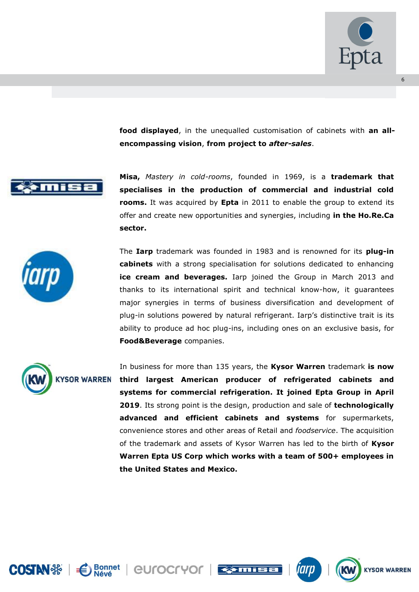

**food displayed**, in the unequalled customisation of cabinets with **an allencompassing vision**, **from project to** *after-sales*.



**Misa,** *Mastery in cold-rooms*, founded in 1969, is a **trademark that specialises in the production of commercial and industrial cold rooms.** It was acquired by **Epta** in 2011 to enable the group to extend its offer and create new opportunities and synergies, including **in the Ho.Re.Ca sector.**



The **Iarp** trademark was founded in 1983 and is renowned for its **plug-in cabinets** with a strong specialisation for solutions dedicated to enhancing **ice cream and beverages.** Iarp joined the Group in March 2013 and thanks to its international spirit and technical know-how, it guarantees major synergies in terms of business diversification and development of plug-in solutions powered by natural refrigerant. Iarp's distinctive trait is its ability to produce ad hoc plug-ins, including ones on an exclusive basis, for **Food&Beverage** companies.



In business for more than 135 years, the **Kysor Warren** trademark **is now third largest American producer of refrigerated cabinets and systems for commercial refrigeration. It joined Epta Group in April 2019**. Its strong point is the design, production and sale of **technologically advanced and efficient cabinets and systems** for supermarkets, convenience stores and other areas of Retail and *foodservice*. The acquisition of the trademark and assets of Kysor Warren has led to the birth of **Kysor Warren Epta US Corp which works with a team of 500+ employees in the United States and Mexico.**





Bonnet | CULOCLAOL | ESTITIEE



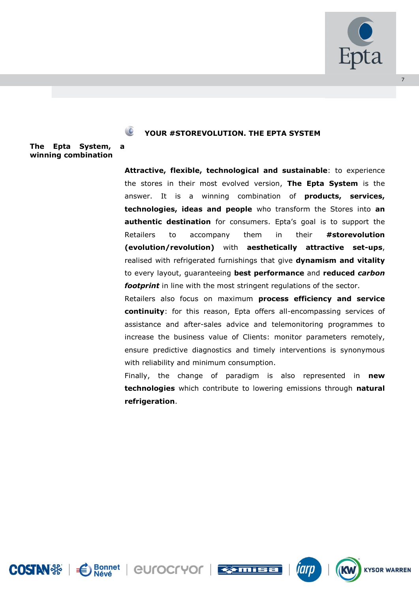

# **YOUR #STOREVOLUTION. THE EPTA SYSTEM**

**The Epta System, a winning combination**

> **Attractive, flexible, technological and sustainable**: to experience the stores in their most evolved version, **The Epta System** is the answer. It is a winning combination of **products, services, technologies, ideas and people** who transform the Stores into **an authentic destination** for consumers. Epta's goal is to support the Retailers to accompany them in their **#storevolution (evolution/revolution)** with **aesthetically attractive set-ups**, realised with refrigerated furnishings that give **dynamism and vitality** to every layout, guaranteeing **best performance** and **reduced** *carbon footprint* in line with the most stringent regulations of the sector.

> Retailers also focus on maximum **process efficiency and service continuity**: for this reason, Epta offers all-encompassing services of assistance and after-sales advice and telemonitoring programmes to increase the business value of Clients: monitor parameters remotely, ensure predictive diagnostics and timely interventions is synonymous with reliability and minimum consumption.

> Finally, the change of paradigm is also represented in **new technologies** which contribute to lowering emissions through **natural refrigeration**.





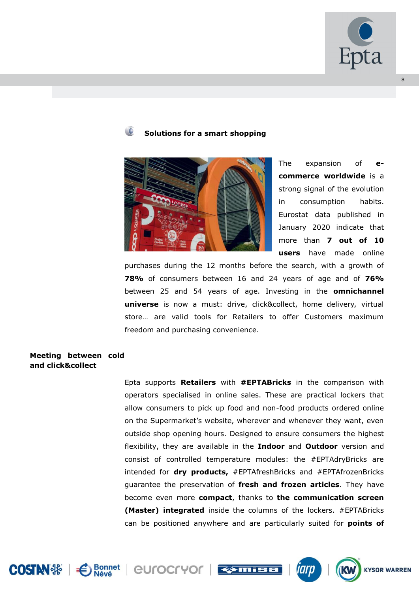

# **Solutions for a smart shopping**



The expansion of **ecommerce worldwide** is a strong signal of the evolution in consumption habits. Eurostat data published in January 2020 indicate that more than **7 out of 10 users** have made online

purchases during the 12 months before the search, with a growth of **78%** of consumers between 16 and 24 years of age and of **76%** between 25 and 54 years of age. Investing in the **omnichannel universe** is now a must: drive, click&collect, home delivery, virtual store… are valid tools for Retailers to offer Customers maximum freedom and purchasing convenience.

# **Meeting between cold and click&collect**

Epta supports **Retailers** with **#EPTABricks** in the comparison with operators specialised in online sales. These are practical lockers that allow consumers to pick up food and non-food products ordered online on the Supermarket's website, wherever and whenever they want, even outside shop opening hours. Designed to ensure consumers the highest flexibility, they are available in the **Indoor** and **Outdoor** version and consist of controlled temperature modules: the #EPTAdryBricks are intended for **dry products,** #EPTAfreshBricks and #EPTAfrozenBricks guarantee the preservation of **fresh and frozen articles**. They have become even more **compact**, thanks to **the communication screen (Master) integrated** inside the columns of the lockers. #EPTABricks can be positioned anywhere and are particularly suited for **points of** 









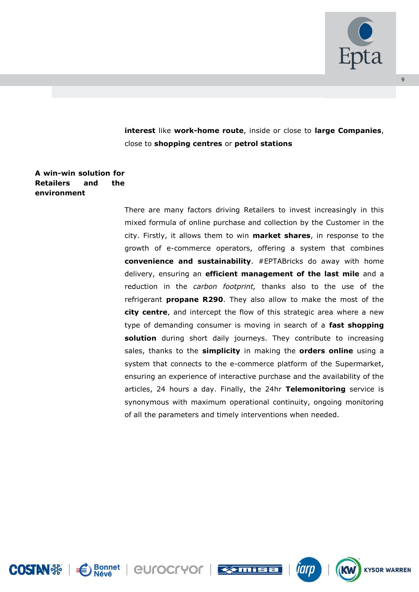

 $\overline{q}$ 

**interest** like **work-home route**, inside or close to **large Companies**, close to **shopping centres** or **petrol stations**

# **A win-win solution for Retailers and the environment**

There are many factors driving Retailers to invest increasingly in this mixed formula of online purchase and collection by the Customer in the city. Firstly, it allows them to win **market shares**, in response to the growth of e-commerce operators, offering a system that combines **convenience and sustainability**. #EPTABricks do away with home delivery, ensuring an **efficient management of the last mile** and a reduction in the *carbon footprint,* thanks also to the use of the refrigerant **propane R290**. They also allow to make the most of the **city centre**, and intercept the flow of this strategic area where a new type of demanding consumer is moving in search of a **fast shopping**  solution during short daily journeys. They contribute to increasing sales, thanks to the **simplicity** in making the **orders online** using a system that connects to the e-commerce platform of the Supermarket, ensuring an experience of interactive purchase and the availability of the articles, 24 hours a day. Finally, the 24hr **Telemonitoring** service is synonymous with maximum operational continuity, ongoing monitoring of all the parameters and timely interventions when needed.





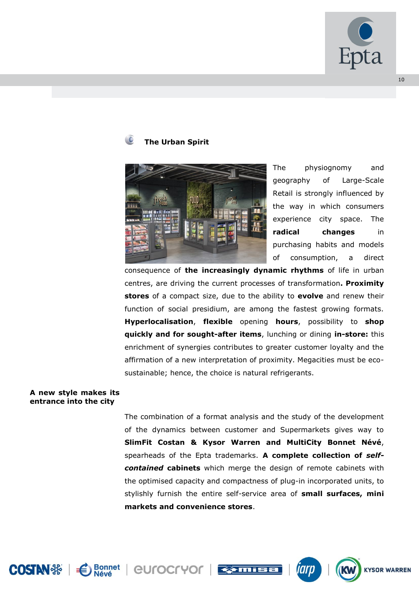

# **The Urban Spirit**



The physiognomy and geography of Large-Scale Retail is strongly influenced by the way in which consumers experience city space. The **radical changes** in purchasing habits and models of consumption, a direct

consequence of **the increasingly dynamic rhythms** of life in urban centres, are driving the current processes of transformation**. Proximity stores** of a compact size, due to the ability to **evolve** and renew their function of social presidium, are among the fastest growing formats. **Hyperlocalisation**, **flexible** opening **hours**, possibility to **shop quickly and for sought-after items**, lunching or dining **in-store:** this enrichment of synergies contributes to greater customer loyalty and the affirmation of a new interpretation of proximity. Megacities must be ecosustainable; hence, the choice is natural refrigerants.

#### **A new style makes its entrance into the city**

The combination of a format analysis and the study of the development of the dynamics between customer and Supermarkets gives way to **SlimFit Costan & Kysor Warren and MultiCity Bonnet Névé**, spearheads of the Epta trademarks. **A complete collection of** *selfcontained* **cabinets** which merge the design of remote cabinets with the optimised capacity and compactness of plug-in incorporated units, to stylishly furnish the entire self-service area of **small surfaces, mini markets and convenience stores**.





**eurocryor Example** 

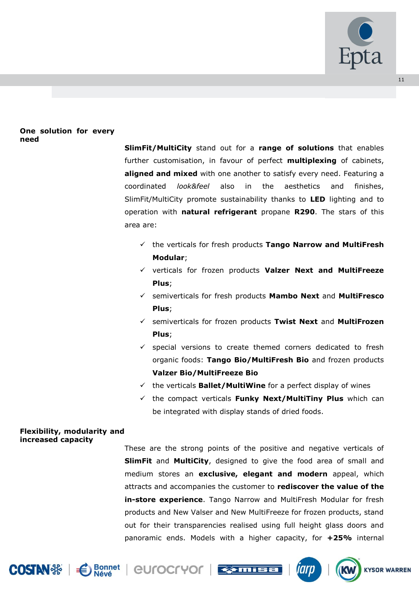

# **One solution for every need**

**SlimFit/MultiCity** stand out for a **range of solutions** that enables further customisation, in favour of perfect **multiplexing** of cabinets, **aligned and mixed** with one another to satisfy every need. Featuring a coordinated *look&feel* also in the aesthetics and finishes, SlimFit/MultiCity promote sustainability thanks to **LED** lighting and to operation with **natural refrigerant** propane **R290**. The stars of this area are:

- the verticals for fresh products **Tango Narrow and MultiFresh Modular**;
- verticals for frozen products **Valzer Next and MultiFreeze Plus**;
- semiverticals for fresh products **Mambo Next** and **MultiFresco Plus**;
- semiverticals for frozen products **Twist Next** and **MultiFrozen Plus**;
- $\checkmark$  special versions to create themed corners dedicated to fresh organic foods: **Tango Bio/MultiFresh Bio** and frozen products **Valzer Bio/MultiFreeze Bio**
- the verticals **Ballet/MultiWine** for a perfect display of wines
- $\checkmark$  the compact verticals **Funky Next/MultiTiny Plus** which can be integrated with display stands of dried foods.

#### **Flexibility, modularity and increased capacity**

These are the strong points of the positive and negative verticals of **SlimFit** and **MultiCity**, designed to give the food area of small and medium stores an **exclusive, elegant and modern** appeal, which attracts and accompanies the customer to **rediscover the value of the in-store experience**. Tango Narrow and MultiFresh Modular for fresh products and New Valser and New MultiFreeze for frozen products, stand out for their transparencies realised using full height glass doors and panoramic ends. Models with a higher capacity, for **+25%** internal











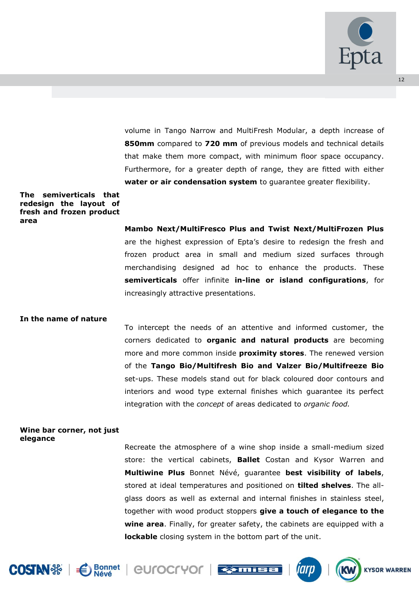

volume in Tango Narrow and MultiFresh Modular, a depth increase of **850mm** compared to **720 mm** of previous models and technical details that make them more compact, with minimum floor space occupancy. Furthermore, for a greater depth of range, they are fitted with either **water or air condensation system** to guarantee greater flexibility.

#### **The semiverticals that redesign the layout of fresh and frozen product area**

**Mambo Next/MultiFresco Plus and Twist Next/MultiFrozen Plus**  are the highest expression of Epta's desire to redesign the fresh and frozen product area in small and medium sized surfaces through merchandising designed ad hoc to enhance the products. These **semiverticals** offer infinite **in-line or island configurations**, for increasingly attractive presentations.

#### **In the name of nature**

To intercept the needs of an attentive and informed customer, the corners dedicated to **organic and natural products** are becoming more and more common inside **proximity stores**. The renewed version of the **Tango Bio/Multifresh Bio and Valzer Bio/Multifreeze Bio** set-ups. These models stand out for black coloured door contours and interiors and wood type external finishes which guarantee its perfect integration with the *concept* of areas dedicated to *organic food.*

#### **Wine bar corner, not just elegance**

Recreate the atmosphere of a wine shop inside a small-medium sized store: the vertical cabinets, **Ballet** Costan and Kysor Warren and **Multiwine Plus** Bonnet Névé, guarantee **best visibility of labels**, stored at ideal temperatures and positioned on **tilted shelves**. The allglass doors as well as external and internal finishes in stainless steel, together with wood product stoppers **give a touch of elegance to the wine area**. Finally, for greater safety, the cabinets are equipped with a **lockable** closing system in the bottom part of the unit.











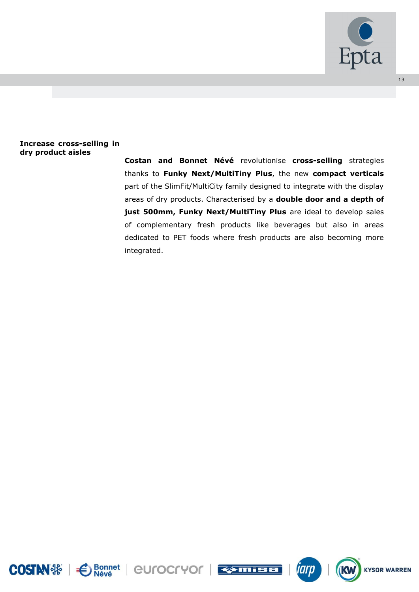

# **Increase cross-selling in dry product aisles**

**Costan and Bonnet Névé** revolutionise **cross-selling** strategies thanks to **Funky Next/MultiTiny Plus**, the new **compact verticals** part of the SlimFit/MultiCity family designed to integrate with the display areas of dry products. Characterised by a **double door and a depth of just 500mm, Funky Next/MultiTiny Plus** are ideal to develop sales of complementary fresh products like beverages but also in areas dedicated to PET foods where fresh products are also becoming more integrated.





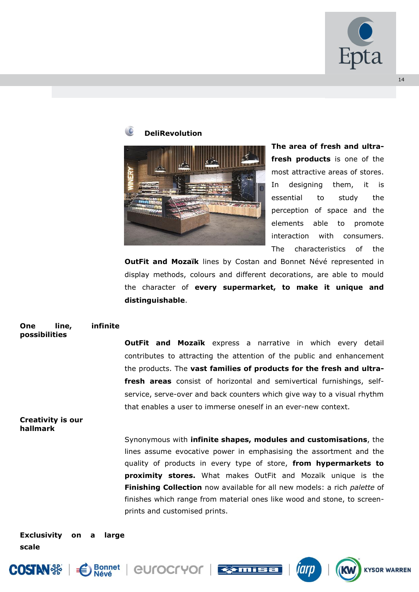

**KYSOR WARREN** 

# **DeliRevolution**



**The area of fresh and ultrafresh products** is one of the most attractive areas of stores. In designing them, it is essential to study the perception of space and the elements able to promote interaction with consumers. The characteristics of the

**OutFit and Mozaïk** lines by Costan and Bonnet Névé represented in display methods, colours and different decorations, are able to mould the character of **every supermarket, to make it unique and distinguishable**.

#### **One line, infinite possibilities**

**OutFit and Mozaïk** express a narrative in which every detail contributes to attracting the attention of the public and enhancement the products. The **vast families of products for the fresh and ultrafresh areas** consist of horizontal and semivertical furnishings, selfservice, serve-over and back counters which give way to a visual rhythm that enables a user to immerse oneself in an ever-new context.

#### **Creativity is our hallmark**

Synonymous with **infinite shapes, modules and customisations**, the lines assume evocative power in emphasising the assortment and the quality of products in every type of store, **from hypermarkets to proximity stores.** What makes OutFit and Mozaïk unique is the **Finishing Collection** now available for all new models: a rich *palette* of finishes which range from material ones like wood and stone, to screenprints and customised prints.

**Exclusivity on a large scale**





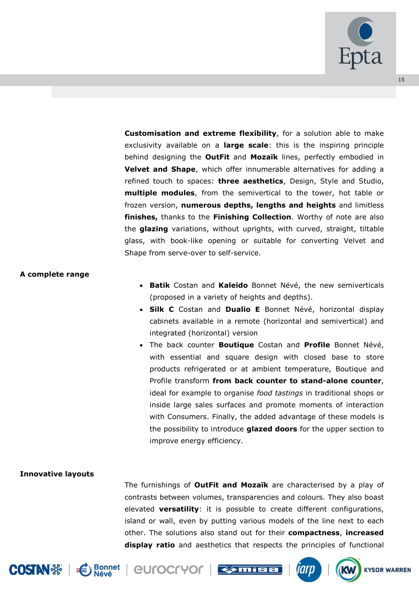

**Customisation and extreme flexibility**, for a solution able to make exclusivity available on a **large scale**: this is the inspiring principle behind designing the **OutFit** and **Mozaïk** lines, perfectly embodied in **Velvet and Shape**, which offer innumerable alternatives for adding a refined touch to spaces: **three aesthetics**, Design, Style and Studio, **multiple modules**, from the semivertical to the tower, hot table or frozen version, **numerous depths, lengths and heights** and limitless **finishes,** thanks to the **Finishing Collection**. Worthy of note are also the **glazing** variations, without uprights, with curved, straight, tiltable glass, with book-like opening or suitable for converting Velvet and Shape from serve-over to self-service.

#### **A complete range**

- **Batik** Costan and **Kaleido** Bonnet Névé, the new semiverticals (proposed in a variety of heights and depths).
- **Silk C** Costan and **Dualio E** Bonnet Névé, horizontal display cabinets available in a remote (horizontal and semivertical) and integrated (horizontal) version
- The back counter **Boutique** Costan and **Profile** Bonnet Névé, with essential and square design with closed base to store products refrigerated or at ambient temperature, Boutique and Profile transform **from back counter to stand-alone counter**, ideal for example to organise *food tastings* in traditional shops or inside large sales surfaces and promote moments of interaction with Consumers. Finally, the added advantage of these models is the possibility to introduce **glazed doors** for the upper section to improve energy efficiency.

#### **Innovative layouts**

The furnishings of **OutFit and Mozaïk** are characterised by a play of contrasts between volumes, transparencies and colours. They also boast elevated **versatility**: it is possible to create different configurations, island or wall, even by putting various models of the line next to each other. The solutions also stand out for their **compactness**, **increased display ratio** and aesthetics that respects the principles of functional





**eurocryor Example** 





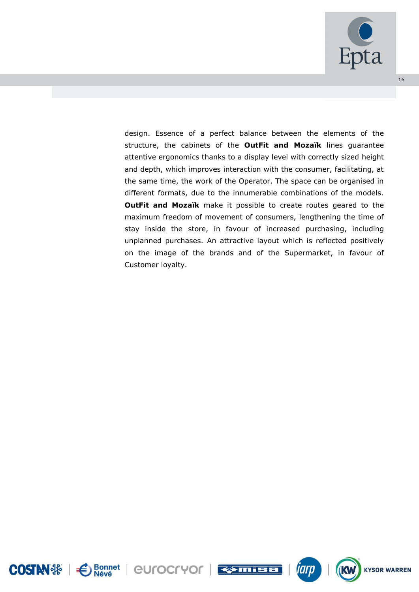

design. Essence of a perfect balance between the elements of the structure, the cabinets of the **OutFit and Mozaïk** lines guarantee attentive ergonomics thanks to a display level with correctly sized height and depth, which improves interaction with the consumer, facilitating, at the same time, the work of the Operator. The space can be organised in different formats, due to the innumerable combinations of the models. **OutFit and Mozaïk** make it possible to create routes geared to the maximum freedom of movement of consumers, lengthening the time of stay inside the store, in favour of increased purchasing, including unplanned purchases. An attractive layout which is reflected positively on the image of the brands and of the Supermarket, in favour of Customer loyalty.







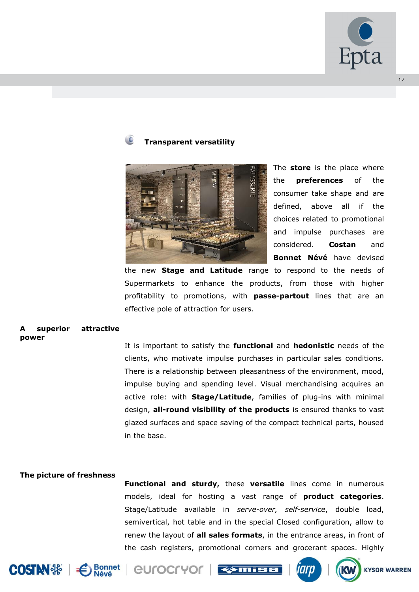

# **Transparent versatility**



The **store** is the place where the **preferences** of the consumer take shape and are defined, above all if the choices related to promotional and impulse purchases are considered. **Costan** and **Bonnet Névé** have devised

the new **Stage and Latitude** range to respond to the needs of Supermarkets to enhance the products, from those with higher profitability to promotions, with **passe-partout** lines that are an effective pole of attraction for users.

#### superior attractive **power**

It is important to satisfy the **functional** and **hedonistic** needs of the clients, who motivate impulse purchases in particular sales conditions. There is a relationship between pleasantness of the environment, mood, impulse buying and spending level. Visual merchandising acquires an active role: with **Stage/Latitude**, families of plug-ins with minimal design, **all-round visibility of the products** is ensured thanks to vast glazed surfaces and space saving of the compact technical parts, housed in the base.

#### **The picture of freshness**

**Functional and sturdy,** these **versatile** lines come in numerous models, ideal for hosting a vast range of **product categories**. Stage/Latitude available in *serve-over, self-service*, double load, semivertical, hot table and in the special Closed configuration, allow to renew the layout of **all sales formats**, in the entrance areas, in front of the cash registers, promotional corners and grocerant spaces. Highly





eurocryor





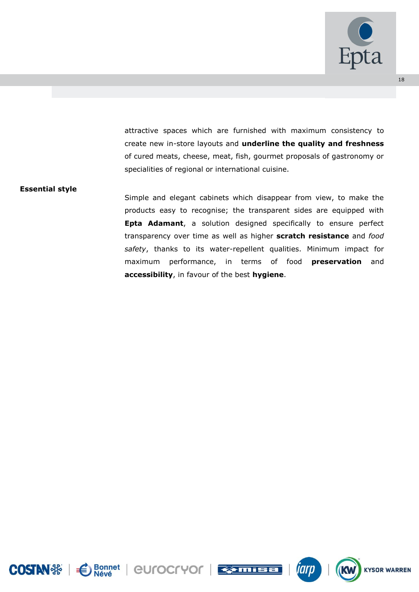

attractive spaces which are furnished with maximum consistency to create new in-store layouts and **underline the quality and freshness**  of cured meats, cheese, meat, fish, gourmet proposals of gastronomy or specialities of regional or international cuisine.

#### **Essential style**

Simple and elegant cabinets which disappear from view, to make the products easy to recognise; the transparent sides are equipped with **Epta Adamant**, a solution designed specifically to ensure perfect transparency over time as well as higher **scratch resistance** and *food safety*, thanks to its water-repellent qualities. Minimum impact for maximum performance, in terms of food **preservation** and **accessibility**, in favour of the best **hygiene**.







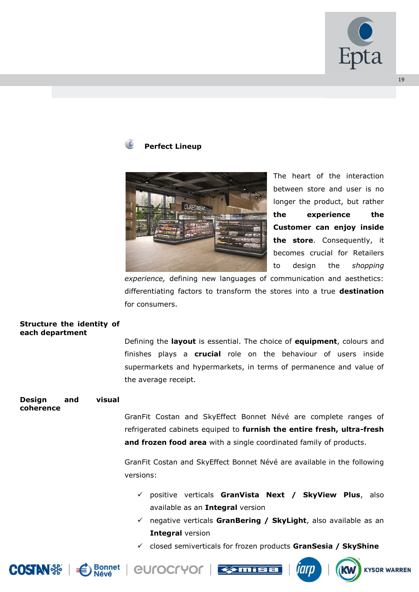

# **Perfect Lineup**



The heart of the interaction between store and user is no longer the product, but rather **the experience the Customer can enjoy inside the store**. Consequently, it becomes crucial for Retailers to design the *shopping*

*experience,* defining new languages of communication and aesthetics: differentiating factors to transform the stores into a true **destination** for consumers.

#### **Structure the identity of each department**

Defining the **layout** is essential. The choice of **equipment**, colours and finishes plays a **crucial** role on the behaviour of users inside supermarkets and hypermarkets, in terms of permanence and value of the average receipt.

#### **Design and visual coherence**

GranFit Costan and SkyEffect Bonnet Névé are complete ranges of refrigerated cabinets equiped to **furnish the entire fresh, ultra-fresh and frozen food area** with a single coordinated family of products.

GranFit Costan and SkyEffect Bonnet Névé are available in the following versions:

- positive verticals **GranVista Next / SkyView Plus**, also available as an **Integral** version
- negative verticals **GranBering / SkyLight**, also available as an **Integral** version
- closed semiverticals for frozen products **GranSesia / SkyShine**





*<u>eurocryor</u>* **Remis** 



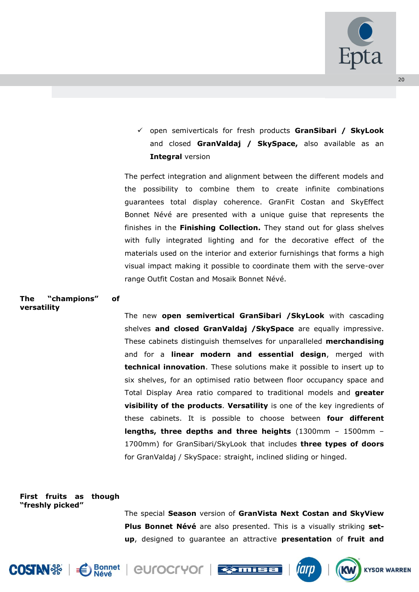

 open semiverticals for fresh products **GranSibari / SkyLook** and closed **GranValdaj / SkySpace,** also available as an **Integral** version

The perfect integration and alignment between the different models and the possibility to combine them to create infinite combinations guarantees total display coherence. GranFit Costan and SkyEffect Bonnet Névé are presented with a unique guise that represents the finishes in the **Finishing Collection.** They stand out for glass shelves with fully integrated lighting and for the decorative effect of the materials used on the interior and exterior furnishings that forms a high visual impact making it possible to coordinate them with the serve-over range Outfit Costan and Mosaik Bonnet Névé.

#### **The "champions" of versatility**

The new **open semivertical GranSibari /SkyLook** with cascading shelves **and closed GranValdaj /SkySpace** are equally impressive. These cabinets distinguish themselves for unparalleled **merchandising** and for a **linear modern and essential design**, merged with **technical innovation**. These solutions make it possible to insert up to six shelves, for an optimised ratio between floor occupancy space and Total Display Area ratio compared to traditional models and **greater visibility of the products**. **Versatility** is one of the key ingredients of these cabinets. It is possible to choose between **four different lengths, three depths and three heights** (1300mm – 1500mm – 1700mm) for GranSibari/SkyLook that includes **three types of doors** for GranValdaj / SkySpace: straight, inclined sliding or hinged.

# **First fruits as though "freshly picked"**

The special **Season** version of **GranVista Next Costan and SkyView Plus Bonnet Névé** are also presented. This is a visually striking **setup**, designed to guarantee an attractive **presentation** of **fruit and** 











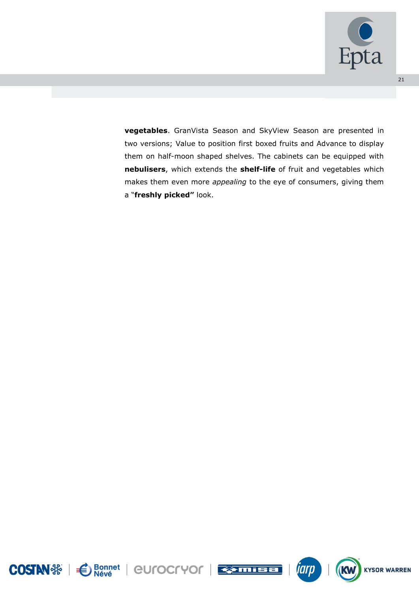

**vegetables**. GranVista Season and SkyView Season are presented in two versions; Value to position first boxed fruits and Advance to display them on half-moon shaped shelves. The cabinets can be equipped with **nebulisers**, which extends the **shelf-life** of fruit and vegetables which makes them even more *appealing* to the eye of consumers, giving them a "**freshly picked"** look.







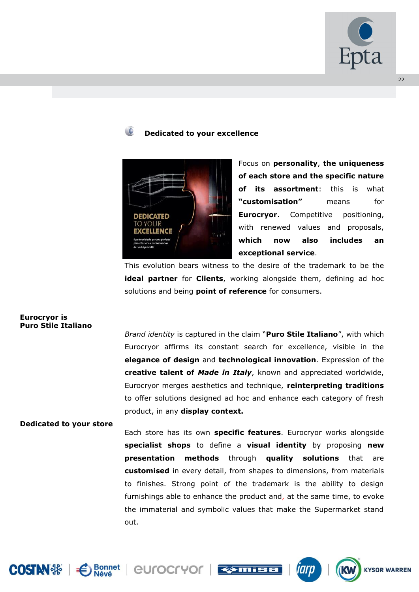

# **Dedicated to your excellence**



Focus on **personality**, **the uniqueness of each store and the specific nature of its assortment**: this is what **"customisation"** means for **Eurocryor.** Competitive positioning, with renewed values and proposals, **which now also includes an exceptional service**.

This evolution bears witness to the desire of the trademark to be the **ideal partner** for **Clients**, working alongside them, defining ad hoc solutions and being **point of reference** for consumers.

#### **Eurocryor is Puro Stile Italiano**

*Brand identity* is captured in the claim "**Puro Stile Italiano**", with which Eurocryor affirms its constant search for excellence, visible in the **elegance of design** and **technological innovation**. Expression of the **creative talent of** *Made in Italy*, known and appreciated worldwide, Eurocryor merges aesthetics and technique, **reinterpreting traditions** to offer solutions designed ad hoc and enhance each category of fresh product, in any **display context.**

# **Dedicated to your store**

Each store has its own **specific features**. Eurocryor works alongside **specialist shops** to define a **visual identity** by proposing **new presentation methods** through **quality solutions** that are **customised** in every detail, from shapes to dimensions, from materials to finishes. Strong point of the trademark is the ability to design furnishings able to enhance the product and, at the same time, to evoke the immaterial and symbolic values that make the Supermarket stand out.





Bonnet | CULOCLAOL | ESTUTEE



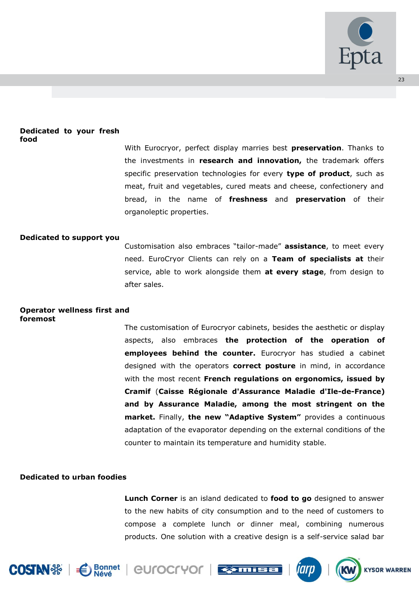

#### **Dedicated to your fresh food**

With Eurocryor, perfect display marries best **preservation**. Thanks to the investments in **research and innovation,** the trademark offers specific preservation technologies for every **type of product**, such as meat, fruit and vegetables, cured meats and cheese, confectionery and bread, in the name of **freshness** and **preservation** of their organoleptic properties.

# **Dedicated to support you**

Customisation also embraces "tailor-made" **assistance**, to meet every need. EuroCryor Clients can rely on a **Team of specialists at** their service, able to work alongside them **at every stage**, from design to after sales.

#### **Operator wellness first and foremost**

The customisation of Eurocryor cabinets, besides the aesthetic or display aspects, also embraces **the protection of the operation of employees behind the counter.** Eurocryor has studied a cabinet designed with the operators **correct posture** in mind, in accordance with the most recent **French regulations on ergonomics, issued by Cramif** (**Caisse Régionale d'Assurance Maladie d'Ile-de-France) and by Assurance Maladie, among the most stringent on the market.** Finally, **the new "Adaptive System"** provides a continuous adaptation of the evaporator depending on the external conditions of the counter to maintain its temperature and humidity stable.

# **Dedicated to urban foodies**

**Lunch Corner** is an island dedicated to **food to go** designed to answer to the new habits of city consumption and to the need of customers to compose a complete lunch or dinner meal, combining numerous products. One solution with a creative design is a self-service salad bar











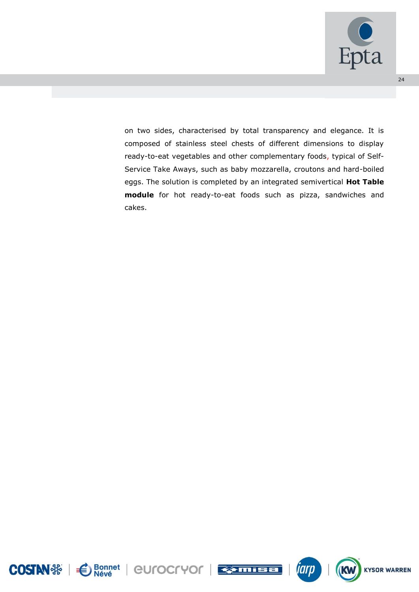

on two sides, characterised by total transparency and elegance. It is composed of stainless steel chests of different dimensions to display ready-to-eat vegetables and other complementary foods, typical of Self-Service Take Aways, such as baby mozzarella, croutons and hard-boiled eggs. The solution is completed by an integrated semivertical **Hot Table module** for hot ready-to-eat foods such as pizza, sandwiches and cakes.





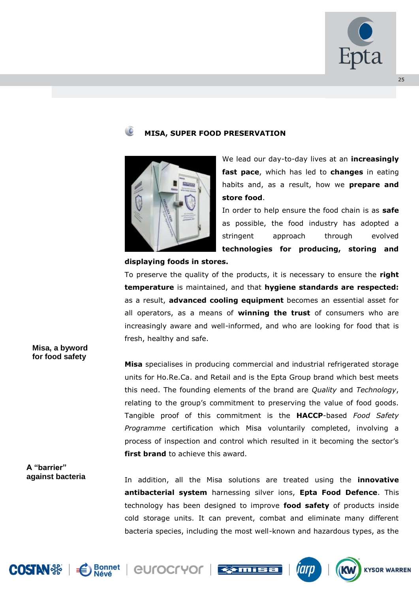

# **MISA, SUPER FOOD PRESERVATION**



We lead our day-to-day lives at an **increasingly fast pace**, which has led to **changes** in eating habits and, as a result, how we **prepare and store food**.

In order to help ensure the food chain is as **safe**  as possible, the food industry has adopted a stringent approach through evolved **technologies for producing, storing and** 

#### **displaying foods in stores.**

To preserve the quality of the products, it is necessary to ensure the **right temperature** is maintained, and that **hygiene standards are respected:**  as a result, **advanced cooling equipment** becomes an essential asset for all operators, as a means of **winning the trust** of consumers who are increasingly aware and well-informed, and who are looking for food that is fresh, healthy and safe.

# **Misa** specialises in producing commercial and industrial refrigerated storage units for Ho.Re.Ca. and Retail and is the Epta Group brand which best meets this need. The founding elements of the brand are *Quality* and *Technology*, relating to the group's commitment to preserving the value of food goods. Tangible proof of this commitment is the **HACCP**-based *Food Safety Programme* certification which Misa voluntarily completed, involving a process of inspection and control which resulted in it becoming the sector's **first brand** to achieve this award.

**A "barrier" against bacteria**

**Misa, a byword for food safety**

> In addition, all the Misa solutions are treated using the **innovative antibacterial system** harnessing silver ions, **Epta Food Defence**. This technology has been designed to improve **food safety** of products inside cold storage units. It can prevent, combat and eliminate many different bacteria species, including the most well-known and hazardous types, as the











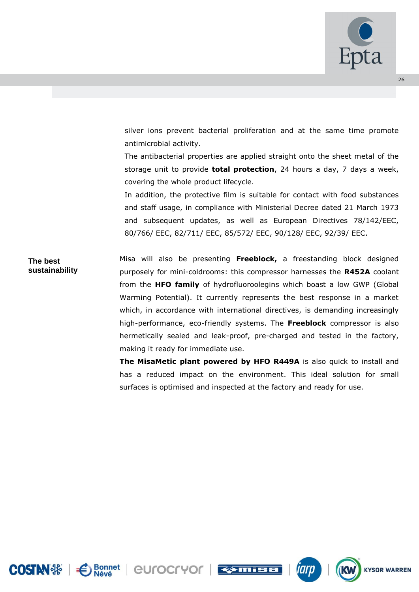

silver ions prevent bacterial proliferation and at the same time promote antimicrobial activity.

The antibacterial properties are applied straight onto the sheet metal of the storage unit to provide **total protection**, 24 hours a day, 7 days a week, covering the whole product lifecycle.

In addition, the protective film is suitable for contact with food substances and staff usage, in compliance with Ministerial Decree dated 21 March 1973 and subsequent updates, as well as European Directives 78/142/EEC, 80/766/ EEC, 82/711/ EEC, 85/572/ EEC, 90/128/ EEC, 92/39/ EEC.

Misa will also be presenting **Freeblock,** a freestanding block designed purposely for mini-coldrooms: this compressor harnesses the **R452A** coolant from the **HFO family** of hydrofluoroolegins which boast a low GWP (Global Warming Potential). It currently represents the best response in a market which, in accordance with international directives, is demanding increasingly high-performance, eco-friendly systems. The **Freeblock** compressor is also hermetically sealed and leak-proof, pre-charged and tested in the factory, making it ready for immediate use. **The best sustainability** 

> **The MisaMetic plant powered by HFO R449A** is also quick to install and has a reduced impact on the environment. This ideal solution for small surfaces is optimised and inspected at the factory and ready for use.





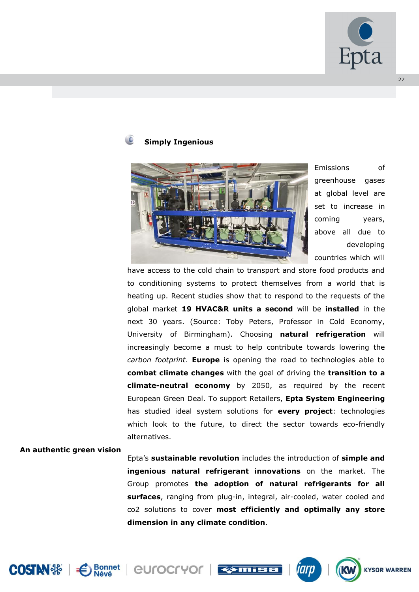

# **Simply Ingenious**



Emissions of greenhouse gases at global level are set to increase in coming years, above all due to developing countries which will

have access to the cold chain to transport and store food products and to conditioning systems to protect themselves from a world that is heating up. Recent studies show that to respond to the requests of the global market **19 HVAC&R units a second** will be **installed** in the next 30 years. (Source: Toby Peters, Professor in Cold Economy, University of Birmingham). Choosing **natural refrigeration** will increasingly become a must to help contribute towards lowering the *carbon footprint*. **Europe** is opening the road to technologies able to **combat climate changes** with the goal of driving the **transition to a climate-neutral economy** by 2050, as required by the recent European Green Deal. To support Retailers, **Epta System Engineering**  has studied ideal system solutions for **every project**: technologies which look to the future, to direct the sector towards eco-friendly alternatives.

#### **An authentic green vision**

Epta's **sustainable revolution** includes the introduction of **simple and ingenious natural refrigerant innovations** on the market. The Group promotes **the adoption of natural refrigerants for all surfaces**, ranging from plug-in, integral, air-cooled, water cooled and co2 solutions to cover **most efficiently and optimally any store dimension in any climate condition**.









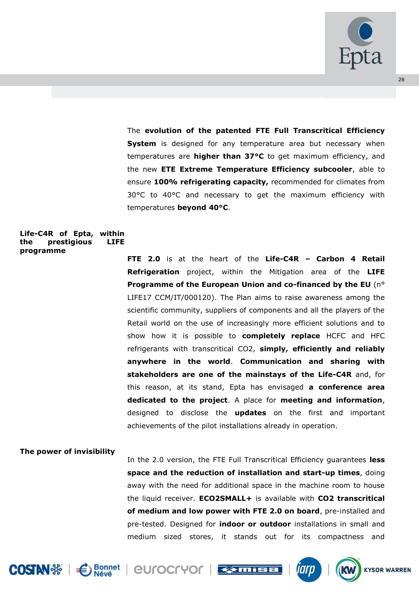

The **evolution of the patented FTE Full Transcritical Efficiency System** is designed for any temperature area but necessary when temperatures are **higher than 37°C** to get maximum efficiency, and the new **ETE Extreme Temperature Efficiency subcooler**, able to ensure **100% refrigerating capacity,** recommended for climates from 30°C to 40°C and necessary to get the maximum efficiency with temperatures **beyond 40°C**.

# **Life-C4R of Epta, within**  the **prestigious programme**

**FTE 2.0** is at the heart of the **Life-C4R – Carbon 4 Retail Refrigeration** project, within the Mitigation area of the **LIFE Programme of the European Union and co-financed by the EU** (n° LIFE17 CCM/IT/000120). The Plan aims to raise awareness among the scientific community, suppliers of components and all the players of the Retail world on the use of increasingly more efficient solutions and to show how it is possible to **completely replace** HCFC and HFC refrigerants with transcritical CO2, **simply, efficiently and reliably anywhere in the world**. **Communication and sharing with stakeholders are one of the mainstays of the Life-C4R** and, for this reason, at its stand, Epta has envisaged **a conference area dedicated to the project**. A place for **meeting and information**, designed to disclose the **updates** on the first and important achievements of the pilot installations already in operation.

# **The power of invisibility**

In the 2.0 version, the FTE Full Transcritical Efficiency guarantees **less space and the reduction of installation and start-up times**, doing away with the need for additional space in the machine room to house the liquid receiver. **ECO2SMALL+** is available with **CO2 transcritical of medium and low power with FTE 2.0 on board**, pre-installed and pre-tested. Designed for **indoor or outdoor** installations in small and medium sized stores, it stands out for its compactness and











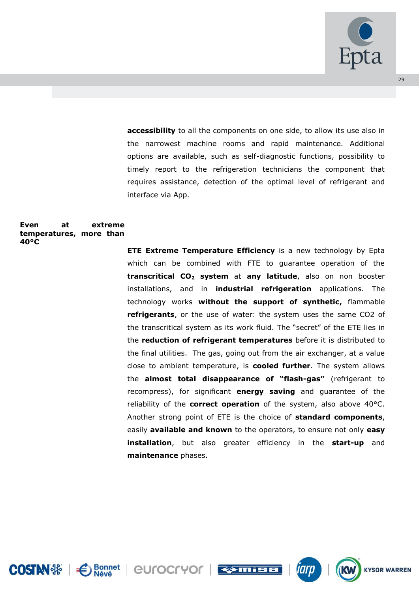

**accessibility** to all the components on one side, to allow its use also in the narrowest machine rooms and rapid maintenance. Additional options are available, such as self-diagnostic functions, possibility to timely report to the refrigeration technicians the component that requires assistance, detection of the optimal level of refrigerant and interface via App.

#### **Even at extreme temperatures, more than 40°C**

**ETE Extreme Temperature Efficiency** is a new technology by Epta which can be combined with FTE to guarantee operation of the **transcritical CO<sup>2</sup> system** at **any latitude**, also on non booster installations, and in **industrial refrigeration** applications. The technology works **without the support of synthetic,** flammable **refrigerants**, or the use of water: the system uses the same CO2 of the transcritical system as its work fluid. The "secret" of the ETE lies in the **reduction of refrigerant temperatures** before it is distributed to the final utilities. The gas, going out from the air exchanger, at a value close to ambient temperature, is **cooled further**. The system allows the **almost total disappearance of "flash-gas"** (refrigerant to recompress), for significant **energy saving** and guarantee of the reliability of the **correct operation** of the system, also above 40°C. Another strong point of ETE is the choice of **standard components**, easily **available and known** to the operators, to ensure not only **easy installation**, but also greater efficiency in the **start-up** and **maintenance** phases.







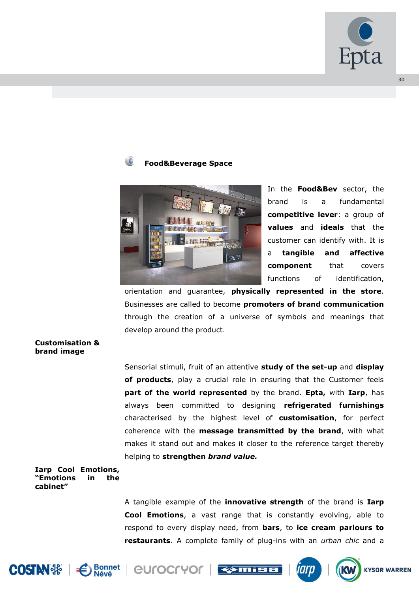

# **Food&Beverage Space**



In the **Food&Bev** sector, the brand is a fundamental **competitive lever**: a group of **values** and **ideals** that the customer can identify with. It is a **tangible and affective component** that covers functions of identification,

orientation and guarantee, **physically represented in the store**. Businesses are called to become **promoters of brand communication** through the creation of a universe of symbols and meanings that develop around the product.

# **Customisation & brand image**

Sensorial stimuli, fruit of an attentive **study of the set-up** and **display of products**, play a crucial role in ensuring that the Customer feels **part of the world represented** by the brand. **Epta,** with **Iarp**, has always been committed to designing **refrigerated furnishings** characterised by the highest level of **customisation**, for perfect coherence with the **message transmitted by the brand**, with what makes it stand out and makes it closer to the reference target thereby helping to **strengthen** *brand value.*

# **Iarp Cool Emotions, "Emotions in the cabinet"**

A tangible example of the **innovative strength** of the brand is **Iarp Cool Emotions**, a vast range that is constantly evolving, able to respond to every display need, from **bars**, to **ice cream parlours to restaurants**. A complete family of plug-ins with an *urban chic* and a









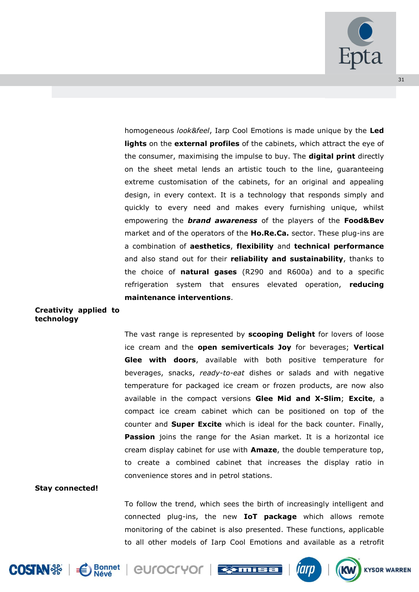

homogeneous *look&feel*, Iarp Cool Emotions is made unique by the **Led lights** on the **external profiles** of the cabinets, which attract the eye of the consumer, maximising the impulse to buy. The **digital print** directly on the sheet metal lends an artistic touch to the line, guaranteeing extreme customisation of the cabinets, for an original and appealing design, in every context. It is a technology that responds simply and quickly to every need and makes every furnishing unique, whilst empowering the *brand awareness* of the players of the **Food&Bev** market and of the operators of the **Ho.Re.Ca.** sector. These plug-ins are a combination of **aesthetics**, **flexibility** and **technical performance**  and also stand out for their **reliability and sustainability**, thanks to the choice of **natural gases** (R290 and R600a) and to a specific refrigeration system that ensures elevated operation, **reducing maintenance interventions**.

# **Creativity applied to technology**

The vast range is represented by **scooping Delight** for lovers of loose ice cream and the **open semiverticals Joy** for beverages; **Vertical Glee with doors**, available with both positive temperature for beverages, snacks, *ready-to-eat* dishes or salads and with negative temperature for packaged ice cream or frozen products, are now also available in the compact versions **Glee Mid and X-Slim**; **Excite**, a compact ice cream cabinet which can be positioned on top of the counter and **Super Excite** which is ideal for the back counter. Finally, **Passion** joins the range for the Asian market. It is a horizontal ice cream display cabinet for use with **Amaze**, the double temperature top, to create a combined cabinet that increases the display ratio in convenience stores and in petrol stations.

#### **Stay connected!**

To follow the trend, which sees the birth of increasingly intelligent and connected plug-ins, the new **IoT package** which allows remote monitoring of the cabinet is also presented. These functions, applicable to all other models of Iarp Cool Emotions and available as a retrofit











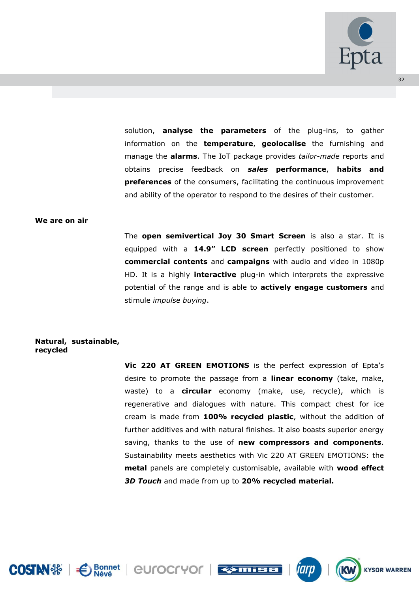

solution, **analyse the parameters** of the plug-ins, to gather information on the **temperature**, **geolocalise** the furnishing and manage the **alarms**. The IoT package provides *tailor-made* reports and obtains precise feedback on *sales* **performance**, **habits and preferences** of the consumers, facilitating the continuous improvement and ability of the operator to respond to the desires of their customer.

#### **We are on air**

The **open semivertical Joy 30 Smart Screen** is also a star. It is equipped with a **14.9" LCD screen** perfectly positioned to show **commercial contents** and **campaigns** with audio and video in 1080p HD. It is a highly **interactive** plug-in which interprets the expressive potential of the range and is able to **actively engage customers** and stimule *impulse buying*.

#### **Natural, sustainable, recycled**

**Vic 220 AT GREEN EMOTIONS** is the perfect expression of Epta's desire to promote the passage from a **linear economy** (take, make, waste) to a **circular** economy (make, use, recycle), which is regenerative and dialogues with nature. This compact chest for ice cream is made from **100% recycled plastic**, without the addition of further additives and with natural finishes. It also boasts superior energy saving, thanks to the use of **new compressors and components**. Sustainability meets aesthetics with Vic 220 AT GREEN EMOTIONS: the **metal** panels are completely customisable, available with **wood effect**  *3D Touch* and made from up to **20% recycled material.**





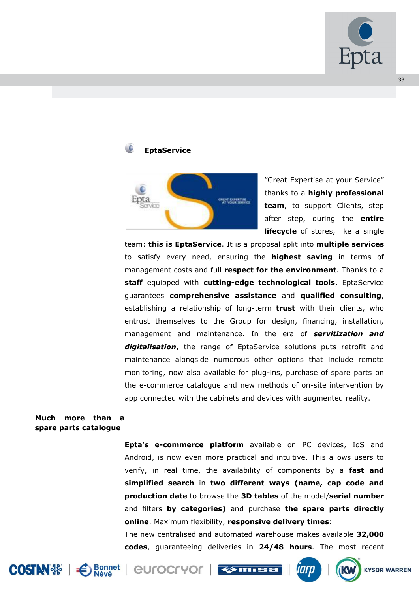

# **EptaService**



"Great Expertise at your Service" thanks to a **highly professional team**, to support Clients, step after step, during the **entire lifecycle** of stores, like a single

team: **this is EptaService**. It is a proposal split into **multiple services** to satisfy every need, ensuring the **highest saving** in terms of management costs and full **respect for the environment**. Thanks to a **staff** equipped with **cutting-edge technological tools**, EptaService guarantees **comprehensive assistance** and **qualified consulting**, establishing a relationship of long-term **trust** with their clients, who entrust themselves to the Group for design, financing, installation, management and maintenance. In the era of *servitization and digitalisation*, the range of EptaService solutions puts retrofit and maintenance alongside numerous other options that include remote monitoring, now also available for plug-ins, purchase of spare parts on the e-commerce catalogue and new methods of on-site intervention by app connected with the cabinets and devices with augmented reality.

# **Much more than a spare parts catalogue**

**Epta's e-commerce platform** available on PC devices, IoS and Android, is now even more practical and intuitive. This allows users to verify, in real time, the availability of components by a **fast and simplified search** in **two different ways (name, cap code and production date** to browse the **3D tables** of the model/**serial number** and filters **by categories)** and purchase **the spare parts directly online**. Maximum flexibility, **responsive delivery times**:

The new centralised and automated warehouse makes available **32,000 codes**, guaranteeing deliveries in **24/48 hours**. The most recent







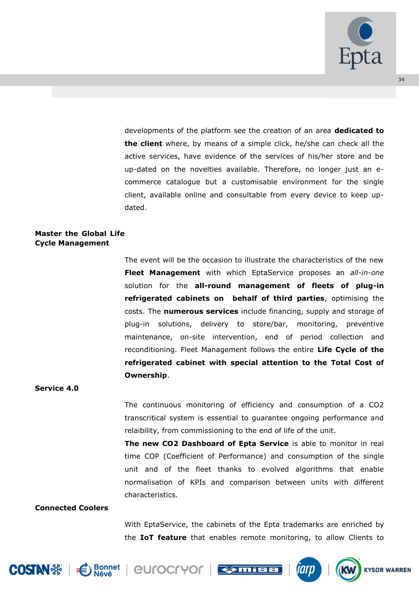

developments of the platform see the creation of an area **dedicated to the client** where, by means of a simple click, he/she can check all the active services, have evidence of the services of his/her store and be up-dated on the novelties available. Therefore, no longer just an ecommerce catalogue but a customisable environment for the single client, available online and consultable from every device to keep updated.

# **Master the Global Life Cycle Management**

The event will be the occasion to illustrate the characteristics of the new **Fleet Management** with which EptaService proposes an *all-in-one* solution for the **all-round management of fleets of plug-in refrigerated cabinets on behalf of third parties**, optimising the costs. The **numerous services** include financing, supply and storage of plug-in solutions, delivery to store/bar, monitoring, preventive maintenance, on-site intervention, end of period collection and reconditioning. Fleet Management follows the entire **Life Cycle of the refrigerated cabinet with special attention to the Total Cost of Ownership**.

#### **Service 4.0**

The continuous monitoring of efficiency and consumption of a CO2 transcritical system is essential to guarantee ongoing performance and relaibility, from commissioning to the end of life of the unit.

**The new CO2 Dashboard of Epta Service** is able to monitor in real time COP (Coefficient of Performance) and consumption of the single unit and of the fleet thanks to evolved algorithms that enable normalisation of KPIs and comparison between units with different characteristics.

#### **Connected Coolers**

With EptaService, the cabinets of the Epta trademarks are enriched by the **IoT feature** that enables remote monitoring, to allow Clients to











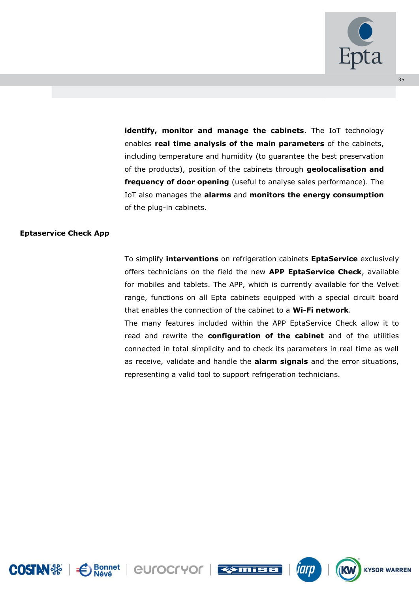

**identify, monitor and manage the cabinets**. The IoT technology enables **real time analysis of the main parameters** of the cabinets, including temperature and humidity (to guarantee the best preservation of the products), position of the cabinets through **geolocalisation and frequency of door opening** (useful to analyse sales performance). The IoT also manages the **alarms** and **monitors the energy consumption** of the plug-in cabinets.

# **Eptaservice Check App**

To simplify **interventions** on refrigeration cabinets **EptaService** exclusively offers technicians on the field the new **APP EptaService Check**, available for mobiles and tablets. The APP, which is currently available for the Velvet range, functions on all Epta cabinets equipped with a special circuit board that enables the connection of the cabinet to a **Wi-Fi network**.

The many features included within the APP EptaService Check allow it to read and rewrite the **configuration of the cabinet** and of the utilities connected in total simplicity and to check its parameters in real time as well as receive, validate and handle the **alarm signals** and the error situations, representing a valid tool to support refrigeration technicians.